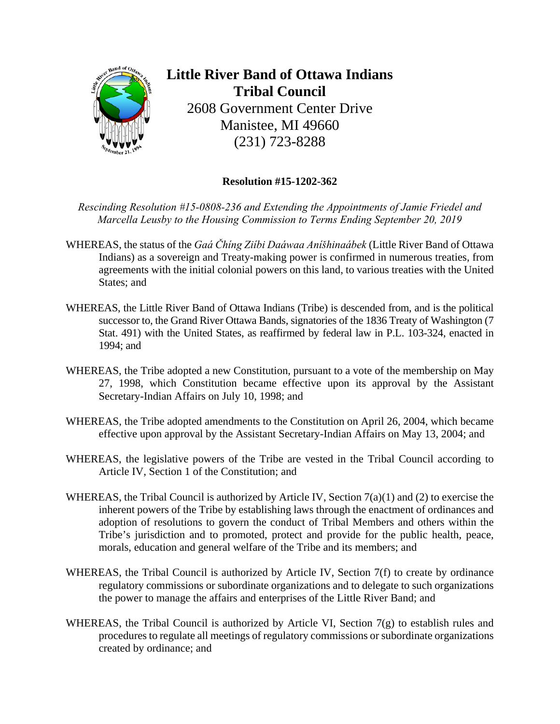

**Little River Band of Ottawa Indians Tribal Council**  2608 Government Center Drive Manistee, MI 49660 (231) 723-8288

## **Resolution #15-1202-362**

*Rescinding Resolution #15-0808-236 and Extending the Appointments of Jamie Friedel and Marcella Leusby to the Housing Commission to Terms Ending September 20, 2019* 

- WHEREAS, the status of the *Gaá Čhíng Ziíbi Daáwaa Aníšhinaábek* (Little River Band of Ottawa Indians) as a sovereign and Treaty-making power is confirmed in numerous treaties, from agreements with the initial colonial powers on this land, to various treaties with the United States; and
- WHEREAS, the Little River Band of Ottawa Indians (Tribe) is descended from, and is the political successor to, the Grand River Ottawa Bands, signatories of the 1836 Treaty of Washington (7 Stat. 491) with the United States, as reaffirmed by federal law in P.L. 103-324, enacted in 1994; and
- WHEREAS, the Tribe adopted a new Constitution, pursuant to a vote of the membership on May 27, 1998, which Constitution became effective upon its approval by the Assistant Secretary-Indian Affairs on July 10, 1998; and
- WHEREAS, the Tribe adopted amendments to the Constitution on April 26, 2004, which became effective upon approval by the Assistant Secretary-Indian Affairs on May 13, 2004; and
- WHEREAS, the legislative powers of the Tribe are vested in the Tribal Council according to Article IV, Section 1 of the Constitution; and
- WHEREAS, the Tribal Council is authorized by Article IV, Section 7(a)(1) and (2) to exercise the inherent powers of the Tribe by establishing laws through the enactment of ordinances and adoption of resolutions to govern the conduct of Tribal Members and others within the Tribe's jurisdiction and to promoted, protect and provide for the public health, peace, morals, education and general welfare of the Tribe and its members; and
- WHEREAS, the Tribal Council is authorized by Article IV, Section 7(f) to create by ordinance regulatory commissions or subordinate organizations and to delegate to such organizations the power to manage the affairs and enterprises of the Little River Band; and
- WHEREAS, the Tribal Council is authorized by Article VI, Section 7(g) to establish rules and procedures to regulate all meetings of regulatory commissions or subordinate organizations created by ordinance; and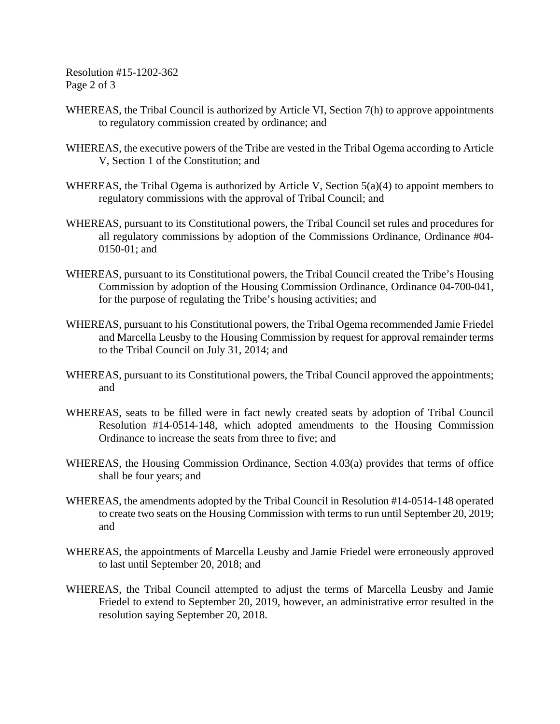Resolution #15-1202-362 Page 2 of 3

- WHEREAS, the Tribal Council is authorized by Article VI, Section 7(h) to approve appointments to regulatory commission created by ordinance; and
- WHEREAS, the executive powers of the Tribe are vested in the Tribal Ogema according to Article V, Section 1 of the Constitution; and
- WHEREAS, the Tribal Ogema is authorized by Article V, Section 5(a)(4) to appoint members to regulatory commissions with the approval of Tribal Council; and
- WHEREAS, pursuant to its Constitutional powers, the Tribal Council set rules and procedures for all regulatory commissions by adoption of the Commissions Ordinance, Ordinance #04- 0150-01; and
- WHEREAS, pursuant to its Constitutional powers, the Tribal Council created the Tribe's Housing Commission by adoption of the Housing Commission Ordinance, Ordinance 04-700-041, for the purpose of regulating the Tribe's housing activities; and
- WHEREAS, pursuant to his Constitutional powers, the Tribal Ogema recommended Jamie Friedel and Marcella Leusby to the Housing Commission by request for approval remainder terms to the Tribal Council on July 31, 2014; and
- WHEREAS, pursuant to its Constitutional powers, the Tribal Council approved the appointments; and
- WHEREAS, seats to be filled were in fact newly created seats by adoption of Tribal Council Resolution #14-0514-148, which adopted amendments to the Housing Commission Ordinance to increase the seats from three to five; and
- WHEREAS, the Housing Commission Ordinance, Section 4.03(a) provides that terms of office shall be four years; and
- WHEREAS, the amendments adopted by the Tribal Council in Resolution #14-0514-148 operated to create two seats on the Housing Commission with terms to run until September 20, 2019; and
- WHEREAS, the appointments of Marcella Leusby and Jamie Friedel were erroneously approved to last until September 20, 2018; and
- WHEREAS, the Tribal Council attempted to adjust the terms of Marcella Leusby and Jamie Friedel to extend to September 20, 2019, however, an administrative error resulted in the resolution saying September 20, 2018.